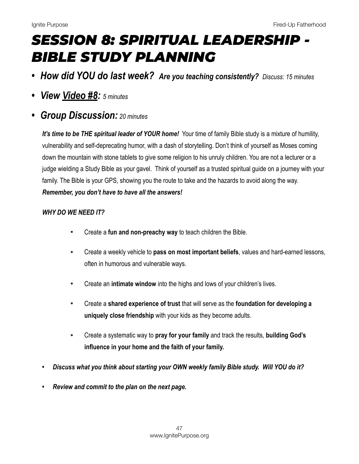# *SESSION 8: SPIRITUAL LEADERSHIP - BIBLE STUDY PLANNING*

- *• How did YOU do last week? Are you teaching consistently? Discuss: 15 minutes*
- *• View [Video #8:](https://youtu.be/Vgov8u0E2Zo) 5 minutes*
- *• Group Discussion: 20 minutes*

*It's time to be THE spiritual leader of YOUR home!* Your time of family Bible study is a mixture of humility, vulnerability and self-deprecating humor, with a dash of storytelling. Don't think of yourself as Moses coming down the mountain with stone tablets to give some religion to his unruly children. You are not a lecturer or a judge wielding a Study Bible as your gavel. Think of yourself as a trusted spiritual guide on a journey with your family. The Bible is your GPS, showing you the route to take and the hazards to avoid along the way. *Remember, you don't have to have all the answers!*

# *WHY DO WE NEED IT?*

- Create a **fun and non-preachy way** to teach children the Bible.
- Create a weekly vehicle to **pass on most important beliefs**, values and hard-earned lessons, often in humorous and vulnerable ways.
- Create an **intimate window** into the highs and lows of your children's lives.
- Create a **shared experience of trust** that will serve as the **foundation for developing a uniquely close friendship** with your kids as they become adults.
- Create a systematic way to **pray for your family** and track the results, **building God's influence in your home and the faith of your family.**
- *• Discuss what you think about starting your OWN weekly family Bible study. Will YOU do it?*
- *• Review and commit to the plan on the next page.*